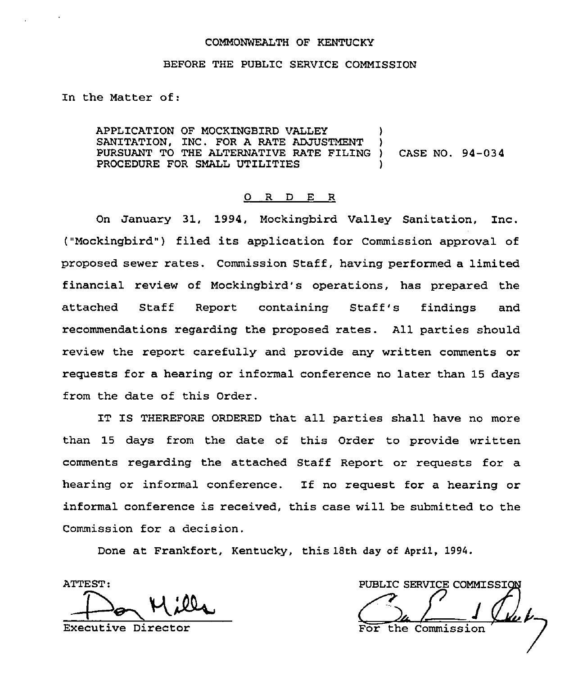#### COMMONWEALTH OF KENTUCKY

#### BEFORE THE PUBLIC SERVICE COMMISSION

In the Matter of:

APPLICATION OF MOCKINGBIRD VALLEY SANITATION, INC. FOR A RATE ADJUSTMENT PURSUANT TO THE ALTERNATIVE RATE FILING ) CASE NO. 94-034 PROCEDURE FOR SMALL UTILITIES

#### 0 R <sup>D</sup> E R

On January 31, 1994, Mockingbird Valley Sanitation, Inc. ("Mockingbird") filed its application for Commission approval of proposed sewer rates. Commission Staff, having performed a limited financial review of Mockingbird's operations, has prepared the attached Staff Report containing Staff's findings and recommendations regarding the proposed rates. All parties should review the report carefully and provide any written comments or requests for a hearing or informal conference no later than 15 days from the date of this Order.

IT IS THEREFORE ORDERED tnat all parties shall have no more than 15 days from the date of this Order to provide written comments regarding the attached Staff Report or requests for a hearing or informal conference. If no request for <sup>a</sup> hearing or informal conference is received, this case will be submitted to the Commission for a decision.

Done at Frankfort, Kentucky, this 18th day of April, 1994.

ATTEST: Mills

Executive Director

PUBLIC SERVICE COMMISSION the Commiss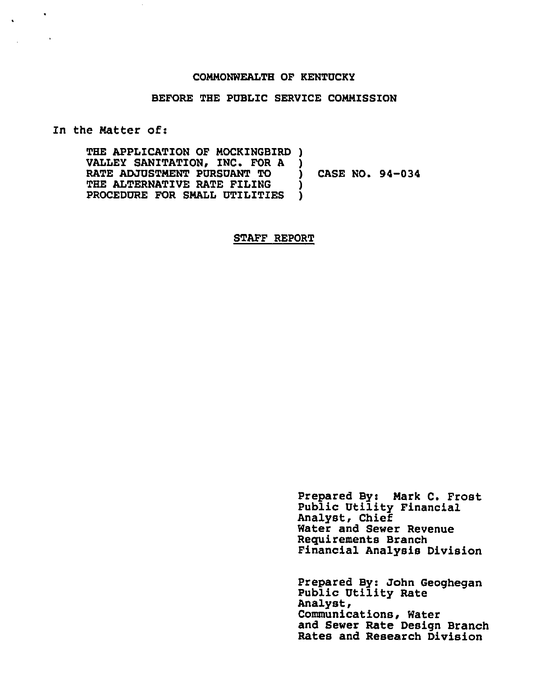#### COMMONWEALTH OF KENTUCKY

#### BEFORE THE PUBLIC SERVICE COMMISSION

ln the Matter of:

 $\sim$ 

 $\ddot{\phantom{a}}$ 

THE APPLICATION OF MOCKINGBIRD ) VALLEY SANITATION, INC. FOR A )<br>RATE ADJUSTMENT PURSUANT TO RATE ADJUSTMENT PURSUANT TO  $\bigcup_{n=1}^{\infty}$  CASE NO. 94-034 THE ALTERNATIVE RATE FILING PROCEDURE FOR SMALL UTILITIES )

#### STAFF REPORT

Prepared By: Mark C. Frost Public Utility Financial Analyst, Chief Water and Sewer Revenue Requirements Branch Financial Analysis Division

Prepared By: John Geoghegan Public Utility Rate Analyst, Communications, Water and Sewer Rate Design Branch Rates and Research Division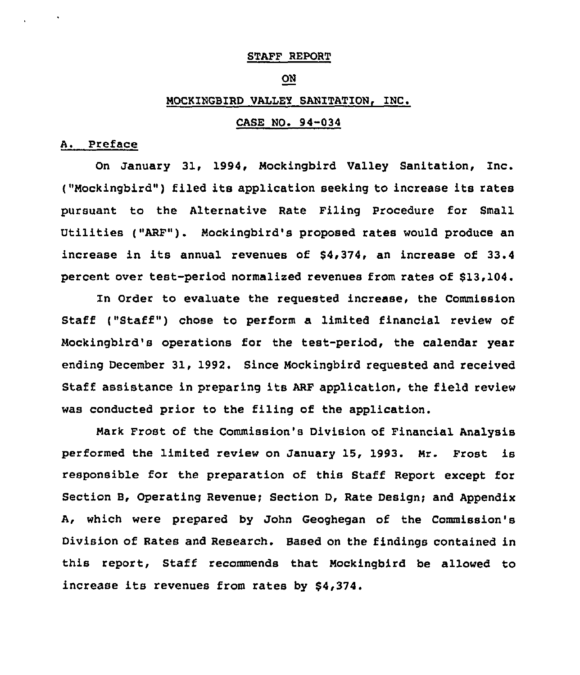### STAFF REPORT

## ON

# MOCKINGBIRD VALLEY SANITATION, INC.

## CASE NO. 94-034

## A. Preface

On January 31, 1994, Mockingbird Valley Sanitation, Inc. ("Mockingbird") filed its application seeking to increase its rates pursuant to the Alternative Rate Filing Procedure for Small Utilities ("ARF"). Mockingbird's proposed rates would produce an increase in its annual revenues of \$4,374, an increase of 33.4 percent over test-period normalized revenues from rates of \$13,104.

ln Order to evaluate the requested increase, the Commission Staff ("Staff") chose to perform a limited financial review of Mockingbird's operations for the test-period, the calendar year ending December 31, 1992. Since Mockingbird requested and received Staff assistance in preparing its ARF application, the field review was conducted prior to the filing of the application.

Hark Frost of the Commission's Division of Financial Analysis performed the limited review on January 15, 1993. Mr. Frost is responsible for the preparation of this Staff Report except for Section B, Operating Revenue; Section D, Rate Design; and Appendix A, which were prepared by John Geoghegan of the Commission's Division of Rates and Research. Based on the findings contained in this report, Staff recommends that Mockingbird be allowed to increase its revenues from rates by \$4,374.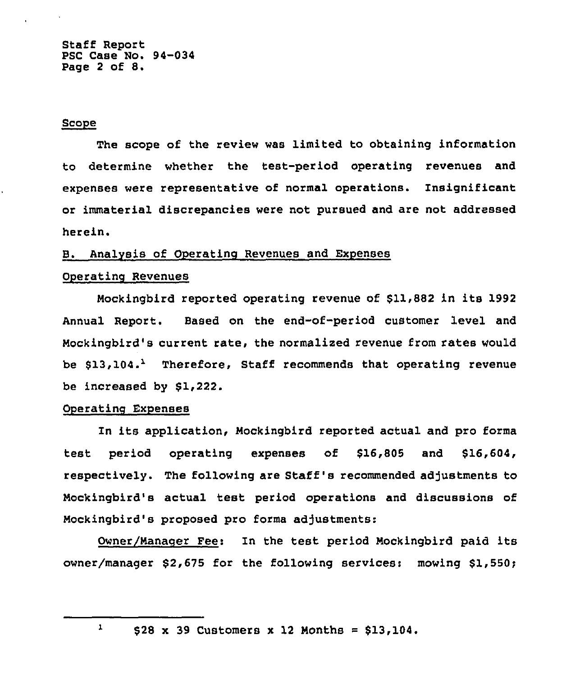Staff Report PSC Case No. 94-034 Page <sup>2</sup> of 8.

#### Scope

The scope of the review was limited to obtaining information to determine whether the test-period operating revenues and expenses were representative of normal operations. Insignificant or immaterial discrepancies were not pursued and are not addressed herein.

## B. Analysis of Operating Revenues and Expenses

# Operating Revenues

Mockingbird reported operating revenue of \$11,882 in its 1992 Annual Report. Based on the end-of-period customer level and Mockingbird's current rate, the normalized revenue from rates would be  $$13,104.$  Therefore, Staff recommends that operating revenue be increased by \$1,222.

#### Operatinq Expenses

In its application, Mockingbird reported actual and pro forms test period operating expenses of \$16,805 and \$16,604, respectively. The following are Staff's recommended adjustments to Mockingbird's actual test period operations and discussions of Mockingbird's proposed pro forma adjustments:

Owner/Nanaoer Pee: In the test period Mockingbird paid its owner/manager \$2,675 for the following services: mowing \$1,550;

 $\mathbf{1}$ 

 $$28 \times 39$  Customers  $x$  12 Months =  $$13,104$ .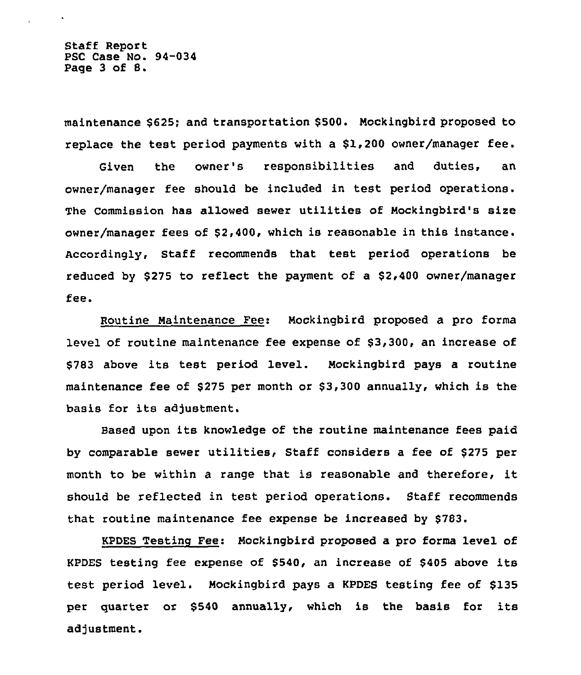Staff Report PSC Case No. 94-034 Page <sup>3</sup> of 8.

maintenance \$625; and transportation \$500. Mockingbird proposed to replace the test period payments with <sup>a</sup> \$1,200 owner/manager fee.

Given the owner's responsibilities and duties, an owner/manager fee should be included in test period operations. The Commission has allowed sewer utilities of Mockingbird's sire owner/manager fees of \$2,400, which is reasonable in this instance. Accordingly, Staff recommends that test period operations be reduced by \$275 to reflect the payment of a \$2,400 owner/manager fee.

Routine Maintenance Fee: Mockingbird proposed a pro forma level of routine maintenance fee expense of \$3,300, an increase of \$<sup>783</sup> above its test period level. Mockingbird pays <sup>a</sup> routine maintenance fee of \$275 per month or \$3,300 annually, which is the basis for its adjustment.

Based upon its knowledge of the routine maintenance fees paid by comparable sewer utilities, Staff considers <sup>a</sup> fee of \$275 per month to be within <sup>a</sup> range that is reasonable and therefore, it should be reflected in test period operations. Staff recommends that routine maintenance fee expense be increased by \$783.

KPDES Testing Fee: Mockingbird proposed a pro forms level of KPDES testing fee expense of \$540, an increase of \$<sup>405</sup> above its test period level. Mockingbird pays a KPDES testing fee of \$135 per quarter or \$<sup>540</sup> annually, which is the basis for its adjustment.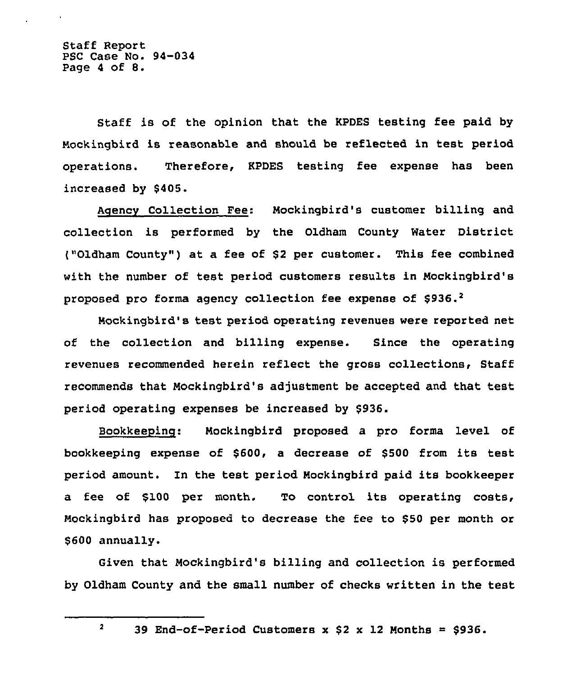Staff Report PSC Case No. 94-034 Page <sup>4</sup> of 8.

Staff is of the opinion that the KPDES testing fee paid by Mockingbird is reasonable and should be reflected in test period operations. Therefore, KPDES testing fee expense has been increased by \$405.

Agency Collection Fee: Mockingbird'8 customer billing and collection is performed by the Oldham County Water District ("Oldham County") at a fee of \$2 per customer. This fee combined with the number of test period customers results in Mockingbird's proposed pro forma agency collection fee expense of  $$936.^2$ 

Mockingbird's test period operating revenues were reported net of the collection and billing expense. Since the operating revenues recommended herein reflect the gross collections, Staff recommends that Mockingbird's adjustment be accepted and that test period operating expenses be increased by \$936.

Bookkeeping: Mockingbird proposed a pro forma level of bookkeeping expense of \$600, a decrease of \$<sup>500</sup> from its test period amount. In the test period Mockingbird paid its bookkeeper a fee of \$100 per month. To control its operating costs, Mockingbird has proposed to decrease the fee to \$50 per month or \$600 annually.

Given that Mockingbird's billing and collection is performed by Oldham County and the small number of checks written in the test

 $\overline{2}$ 39 End-of-Period Customers  $x$  \$2  $x$  12 Months = \$936.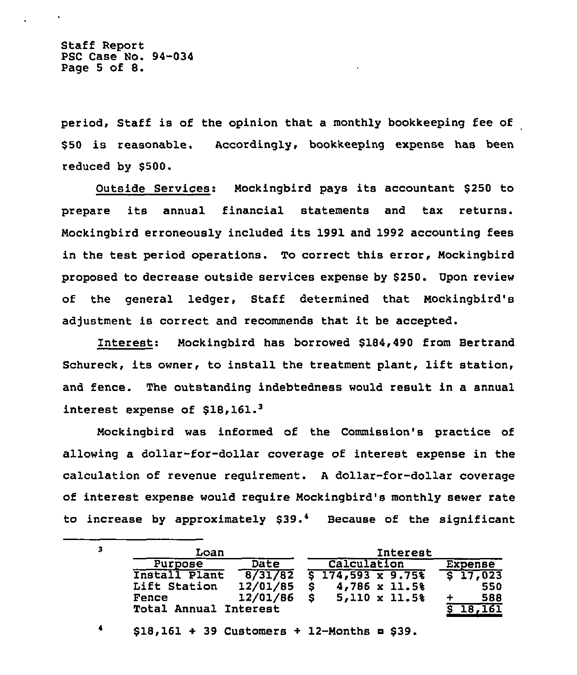Staff Report PSC Case No. 94-034 Page <sup>5</sup> of 8.

4

period, Staff is of the opinion that a monthly bookkeeping fee of \$ <sup>50</sup> is reasonable. Accordingly, bookkeeping expense has been reduced by \$500.

Outside Services: Mockingbird pays its accountant \$<sup>250</sup> to prepare its annual financial statements and tax returns. Mockingbird erroneously included its 1991 and 1992 accounting fees in the test period operations. To correct this error, Mockingbird proposed to decrease outside services expense by \$250. Upon review of the general ledger, Staff determined that Mockingbird's adjustment is correct and recommends that it be accepted.

Interest: Mockingbird has borrowed \$184,490 from Bertrand Schureck, its owner, to install the treatment plant, lift station, and fence. The outstanding indebtedness would result in a annual interest expense of \$18,161.

Mockingbird was informed of the Commission's practice of allowing a dollar-for-dollar coverage of interest expense in the calculation of revenue requirement. <sup>A</sup> dollar-for-dollar coverage of interest expense would require Mockingbird's monthly sewer rate to increase by approximately \$39.<sup>4</sup> Because of the significant

| Loan                  |          |             | Interest                                      |  |         |                     |
|-----------------------|----------|-------------|-----------------------------------------------|--|---------|---------------------|
| Purpose               | Date     | Calculation |                                               |  | Expense |                     |
| Install Plant         |          |             | $8/31/82$ $5 \overline{174,593 \times 9.758}$ |  |         | S <sub>17,023</sub> |
| Lift Station          | 12/01/85 |             | 4,786 x 11.5%                                 |  |         | 550                 |
| Fence                 | 12/01/86 |             | $5,110 \times 11.5$                           |  |         | 588                 |
| Total Annual Interest |          |             |                                               |  |         | 18.161              |

 $$18,161 + 39$  Customers + 12-Months = \$39.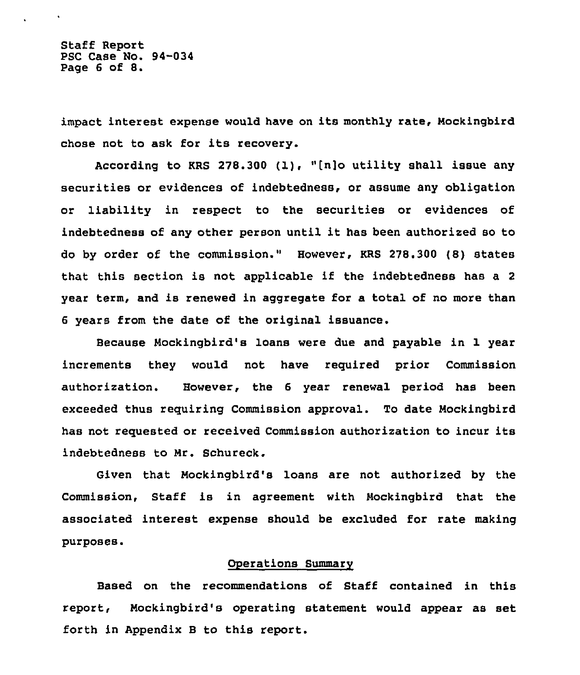Staff Report PSC Case No. 94-034 Page <sup>6</sup> of 8.

 $\mathbf{v}$  .

impact interest expense would have on its monthly rate, Mockingbird chose not to ask for its recovery.

According to KRS 278.300 (1), "[n]o utility shall issue any securities or evidences of indebtedness, or assume any obligation or liability in respect to the securities or evidences of indebtedness of any other person until it has been authorized so to do by order of the commission." However, KRS 278.300 (B) states that this section is not applicable if the indebtedness has <sup>a</sup> <sup>2</sup> year term, and is renewed in aggregate for a total of no more than 6 years from the date of the original issuance.

Because Mockingbird's loans were due and payable in 1 year increments they would not have required prior Commission authorization. However, the 6 year renewal period has been exceeded thus requiring Commission approval. To date Mockingbird has not requested or received Commission authorization to incur its indebtedness to Mr. Schureck.

Given that Mockingbird's loans are not authorized by the Commission, Staff is in agreement with Mockingbird that the associated interest expense should be excluded for rate making purposes.

### Operations Summarv

Based on the recommendations of Staff contained in this report, Mockingbird's operating statement would appear as set forth in Appendix B to this report.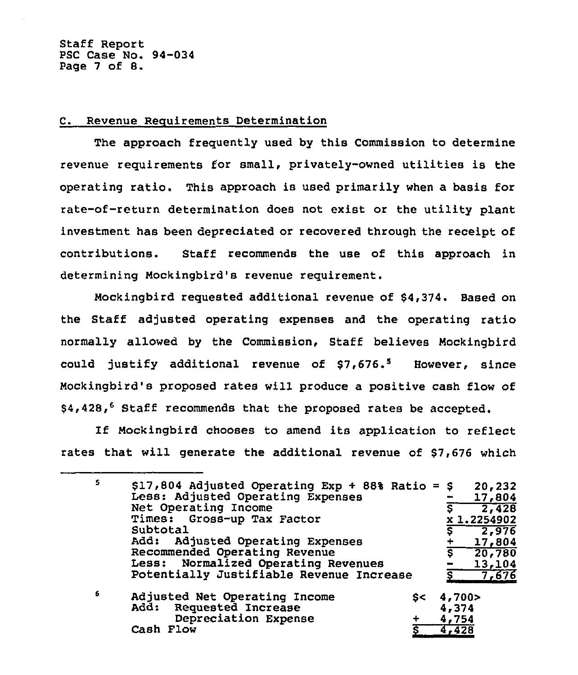Staff Report PSC Case No. 94-034 Page <sup>7</sup> of 8.

## C. Revenue Requirements Determination

The approach frequently used by this Commission to determine revenue requirements for small, privately-owned utilities is the operating ratio. This approach is used primarily when a basis for rate-of-return determination does not exist or the utility plant investment has been depreciated or recovered through the receipt of contributions. Staff recommends the use of this approach in determining Mockingbird's revenue requirement.

Mockingbird requested additional revenue of 84,374. Based on the Staff adjusted operating expenses and the operating ratio normally allowed by the Commission, Staff believes Mockingbird could justify additional revenue of  $$7,676.^5$  However, since Mockingbird's proposed rates will produce a positive cash flow of \$4,428,<sup>6</sup> Staff recommends that the proposed rates be accepted.

If Mockingbird chooses to amend its application to reflect rates that will generate the additional revenue of 87,676 which

| 5 | $$17,804$ Adjusted Operating Exp + 88% Ratio = \$ 20,232<br>Less: Adjusted Operating Expenses<br>Net Operating Income |       | 17,804<br>$\sqrt{2,428}$ |  |  |
|---|-----------------------------------------------------------------------------------------------------------------------|-------|--------------------------|--|--|
|   | Times: Gross-up Tax Factor<br>Subtotal                                                                                |       | x 1.2254902<br>2,976     |  |  |
|   | Add: Adjusted Operating Expenses                                                                                      |       |                          |  |  |
|   |                                                                                                                       |       | 17,804                   |  |  |
|   | Recommended Operating Revenue                                                                                         | ड     | 20,780                   |  |  |
|   | Less: Normalized Operating Revenues                                                                                   |       | 13,104                   |  |  |
|   | Potentially Justifiable Revenue Increase                                                                              |       | 7,676                    |  |  |
| 6 | Adjusted Net Operating Income<br>s<                                                                                   | 4,700 |                          |  |  |
|   | Add: Requested Increase                                                                                               | 4,374 |                          |  |  |
|   | Depreciation Expense                                                                                                  | 4,754 |                          |  |  |
|   | Cash Flow                                                                                                             | 4,428 |                          |  |  |
|   |                                                                                                                       |       |                          |  |  |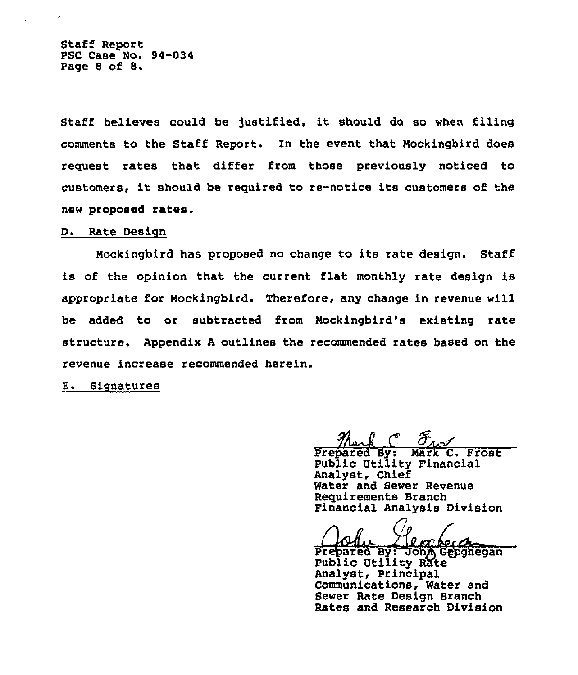Staff Report PSC Case No. 94-034 Page <sup>8</sup> of 8.

Staff believes could be justified, it should do so when filing comments to the Staff Report. In the event that Nockingbird does request rates that differ from those previously noticed to customers, it should be required to re-notice its customers of the new proposed rates.

## D. Rate Design

Mockingbird has proposed no change to its rate design. Staff is of the opinion that the current flat monthly rate design is appropriate for Mockingbird. Therefore, any change in revenue will be added to or subtracted from Mockingbird's existing rate structure. Appendix <sup>A</sup> outlines the recommended rates based on the revenue increase recommended herein.

### E. Signatures

 $\frac{\mathcal{H}_{\text{max}}}{\text{Prepared By: Mark C. Frost}}$ 

Public Utility Financial Analyst, Chief Water and Sewer Revenue Requirements Branch Financial Analysis Division

Requirement<br>
Financia<br>
Prepared Financial Analysis Divisio<br>
Prepared By: John Gepghega<br>
Public Utility Rate

Analyst, Principal Communications, Water and Sewer Rate Design Branch Rates and Research Division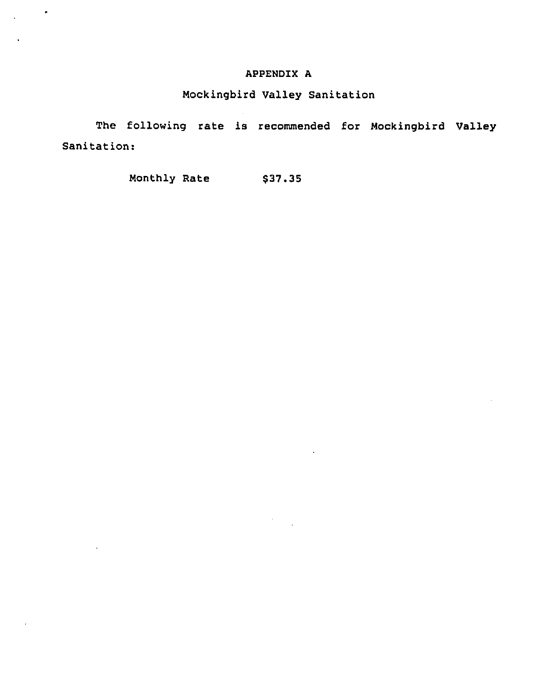# APPENDIX A

# Mockingbird Valley Sanitation

The following rate is recommended for Mockingbird Valley Sanitation:

 $\sim$ 

Monthly Rate \$37.35

 $\frac{1}{2} \left( \frac{1}{2} \right)$  ,  $\frac{1}{2} \left( \frac{1}{2} \right)$ 

l,